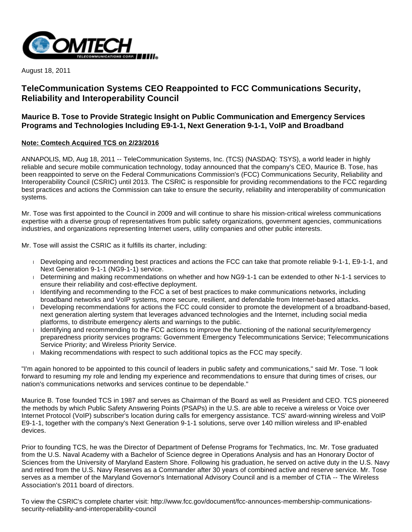

August 18, 2011

# **TeleCommunication Systems CEO Reappointed to FCC Communications Security, Reliability and Interoperability Council**

## **Maurice B. Tose to Provide Strategic Insight on Public Communication and Emergency Services Programs and Technologies Including E9-1-1, Next Generation 9-1-1, VoIP and Broadband**

## **Note: Comtech Acquired TCS on 2/23/2016**

ANNAPOLIS, MD, Aug 18, 2011 -- TeleCommunication Systems, Inc. (TCS) (NASDAQ: TSYS), a world leader in highly reliable and secure mobile communication technology, today announced that the company's CEO, Maurice B. Tose, has been reappointed to serve on the Federal Communications Commission's (FCC) Communications Security, Reliability and Interoperability Council (CSRIC) until 2013. The CSRIC is responsible for providing recommendations to the FCC regarding best practices and actions the Commission can take to ensure the security, reliability and interoperability of communication systems.

Mr. Tose was first appointed to the Council in 2009 and will continue to share his mission-critical wireless communications expertise with a diverse group of representatives from public safety organizations, government agencies, communications industries, and organizations representing Internet users, utility companies and other public interests.

Mr. Tose will assist the CSRIC as it fulfills its charter, including:

- Developing and recommending best practices and actions the FCC can take that promote reliable 9-1-1, E9-1-1, and Next Generation 9-1-1 (NG9-1-1) service.
- Determining and making recommendations on whether and how NG9-1-1 can be extended to other N-1-1 services to ensure their reliability and cost-effective deployment.
- In Identifying and recommending to the FCC a set of best practices to make communications networks, including broadband networks and VoIP systems, more secure, resilient, and defendable from Internet-based attacks.
- Developing recommendations for actions the FCC could consider to promote the development of a broadband-based, next generation alerting system that leverages advanced technologies and the Internet, including social media platforms, to distribute emergency alerts and warnings to the public.
- Identifying and recommending to the FCC actions to improve the functioning of the national security/emergency preparedness priority services programs: Government Emergency Telecommunications Service; Telecommunications Service Priority; and Wireless Priority Service.
- Making recommendations with respect to such additional topics as the FCC may specify.

"I'm again honored to be appointed to this council of leaders in public safety and communications," said Mr. Tose. "I look forward to resuming my role and lending my experience and recommendations to ensure that during times of crises, our nation's communications networks and services continue to be dependable."

Maurice B. Tose founded TCS in 1987 and serves as Chairman of the Board as well as President and CEO. TCS pioneered the methods by which Public Safety Answering Points (PSAPs) in the U.S. are able to receive a wireless or Voice over Internet Protocol (VoIP) subscriber's location during calls for emergency assistance. TCS' award-winning wireless and VoIP E9-1-1, together with the company's Next Generation 9-1-1 solutions, serve over 140 million wireless and IP-enabled devices.

Prior to founding TCS, he was the Director of Department of Defense Programs for Techmatics, Inc. Mr. Tose graduated from the U.S. Naval Academy with a Bachelor of Science degree in Operations Analysis and has an Honorary Doctor of Sciences from the University of Maryland Eastern Shore. Following his graduation, he served on active duty in the U.S. Navy and retired from the U.S. Navy Reserves as a Commander after 30 years of combined active and reserve service. Mr. Tose serves as a member of the Maryland Governor's International Advisory Council and is a member of CTIA -- The Wireless Association's 2011 board of directors.

To view the CSRIC's complete charter visit: http://www.fcc.gov/document/fcc-announces-membership-communicationssecurity-reliability-and-interoperability-council